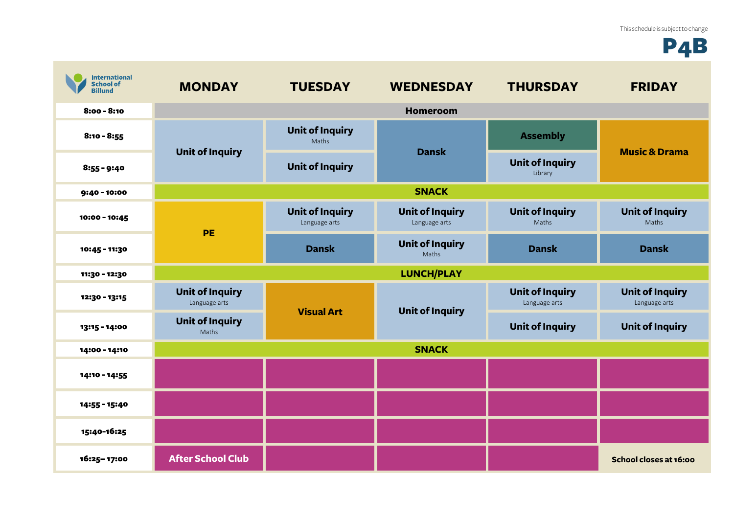## P4B

| <b>International</b><br><b>School of</b><br><b>Billund</b> | <b>MONDAY</b>                                                              | <b>TUESDAY</b>                          | <b>WEDNESDAY</b>                        | <b>THURSDAY</b>                         | <b>FRIDAY</b>                           |
|------------------------------------------------------------|----------------------------------------------------------------------------|-----------------------------------------|-----------------------------------------|-----------------------------------------|-----------------------------------------|
| $8:00 - 8:10$                                              |                                                                            |                                         | <b>Homeroom</b>                         |                                         |                                         |
| $8:10 - 8:55$                                              | <b>Unit of Inquiry</b>                                                     | <b>Unit of Inquiry</b><br>Maths         | <b>Dansk</b>                            | <b>Assembly</b>                         | <b>Music &amp; Drama</b>                |
| $8:55 - 9:40$                                              |                                                                            | <b>Unit of Inquiry</b>                  |                                         | <b>Unit of Inquiry</b><br>Library       |                                         |
| $9:40 - 10:00$                                             |                                                                            |                                         | <b>SNACK</b>                            |                                         |                                         |
| 10:00 - 10:45                                              | PE                                                                         | <b>Unit of Inquiry</b><br>Language arts | <b>Unit of Inquiry</b><br>Language arts | <b>Unit of Inquiry</b><br>Maths         | <b>Unit of Inquiry</b><br>Maths         |
| 10:45 - 11:30                                              |                                                                            | <b>Dansk</b>                            | <b>Unit of Inquiry</b><br>Maths         | <b>Dansk</b>                            | <b>Dansk</b>                            |
| 11:30 - 12:30                                              |                                                                            |                                         | <b>LUNCH/PLAY</b>                       |                                         |                                         |
| 12:30 - 13:15                                              | <b>Unit of Inquiry</b><br>Language arts<br><b>Unit of Inquiry</b><br>Maths | <b>Visual Art</b>                       | <b>Unit of Inquiry</b>                  | <b>Unit of Inquiry</b><br>Language arts | <b>Unit of Inquiry</b><br>Language arts |
| 13:15 - 14:00                                              |                                                                            |                                         |                                         | <b>Unit of Inquiry</b>                  | <b>Unit of Inquiry</b>                  |
| 14:00 - 14:10                                              |                                                                            |                                         | <b>SNACK</b>                            |                                         |                                         |
| 14:10 - 14:55                                              |                                                                            |                                         |                                         |                                         |                                         |
| 14:55 - 15:40                                              |                                                                            |                                         |                                         |                                         |                                         |
| 15:40-16:25                                                |                                                                            |                                         |                                         |                                         |                                         |
| 16:25-17:00                                                | <b>After School Club</b>                                                   |                                         |                                         |                                         | School closes at 16:00                  |

 $\mathcal{L}_{\mathrm{eff}}$